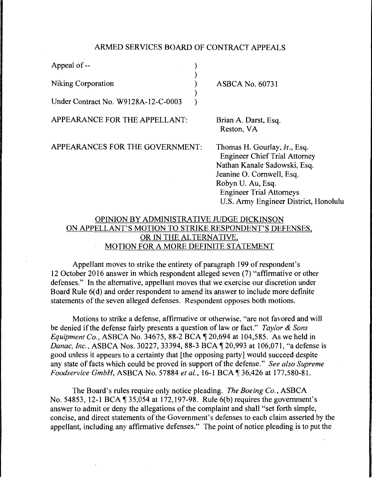## ARMED SERVICES BOARD OF CONTRACT APPEALS

| Appeal of --                                    |  |                                                                                                                                                                                                                                    |
|-------------------------------------------------|--|------------------------------------------------------------------------------------------------------------------------------------------------------------------------------------------------------------------------------------|
| <b>Niking Corporation</b>                       |  | <b>ASBCA No. 60731</b>                                                                                                                                                                                                             |
| Under Contract No. W9128A-12-C-0003             |  |                                                                                                                                                                                                                                    |
| APPEARANCE FOR THE APPELLANT:                   |  | Brian A. Darst, Esq.<br>Reston, VA                                                                                                                                                                                                 |
| APPEARANCES FOR THE GOVERNMENT:                 |  | Thomas H. Gourlay, Jr., Esq.<br><b>Engineer Chief Trial Attorney</b><br>Nathan Kanale Sadowski, Esq.<br>Jeanine O. Cornwell, Esq.<br>Robyn U. Au, Esq.<br><b>Engineer Trial Attorneys</b><br>U.S. Army Engineer District, Honolulu |
| ODIMION DV A DMINICTD A TIVE II IDCE DICY INCON |  |                                                                                                                                                                                                                                    |

## BY ADMINISTRATIVE JUDGE DICKINSO ON APPELLANT'S MOTION TO STRIKE RESPONDENT'S DEFENSES, OR IN THE ALTERNATIVE, MOTION FOR A MORE DEFINITE STATEMENT

Appellant moves to strike the entirety of paragraph 199 of respondent's 12 October 2016 answer in which respondent alleged seven (7) "affirmative or other defenses." In the alternative, appellant moves that we exercise our discretion under Board Rule 6(d) and order respondent to amend its answer to include more definite statements of the seven alleged defenses. Respondent opposes both motions.

Motions to strike a defense, affirmative or otherwise, "are not favored and will be denied if the defense fairly presents a question of law or fact." *Taylor* & *Sons Equipment Co., ASBCA No.* 34675, 88-2 BCA  $\P$  20,694 at 104,585. As we held in *Danac, Inc., ASBCA Nos. 30227, 33394, 88-3 BCA 120,993 at 106,071, "a defense is* good unless it appears to a certainty that [the opposing party] would succeed despite any state of facts which could be proved in support of the defense." *See also Supreme Foodservice GmbH, ASBCA No.* 57884 *et al.,* 16-1 BCA ¶ 36,426 at 177,580-81.

The Board's rules require only notice pleading. *The Boeing Co.,* ASBCA No. 54853, 12-1 BCA \ 35,054 at 172,197-98. Rule 6(b) requires the government's answer to admit or deny the allegations of the complaint and shall "set forth simple, concise, and direct statements of the Government's defenses to each claim asserted by the appellant, including any affirmative defenses." The point of notice pleading is to put the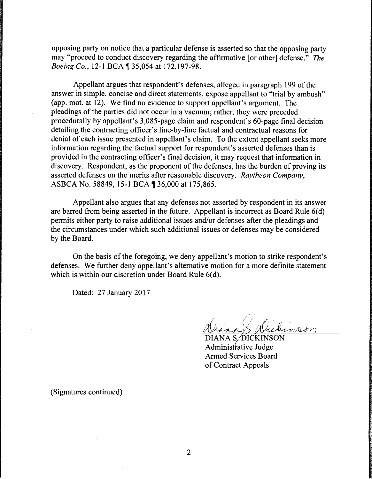opposing party on notice that a particular defense is asserted so that the opposing party may "proceed to conduct discovery regarding the affirmative [or other] defense." *The Boeing Co., 12-1 BCA* 135,054 at 172,197-98.

Appellant argues that respondent's defenses, alleged in paragraph 199 of the answer in simple, concise and direct statements, expose appellant to "trial by ambush" (app. mot. at 12). We find no evidence to support appellant's argument. The pleadings of the parties did not occur in a vacuum; rather, they were preceded procedurally by appellant's 3,085-page claim and respondent's 60-page final decision detailing the contracting officer's line-by-line factual and contractual reasons for denial of each issue presented in appellant's claim. To the extent appellant seeks more information regarding the factual support for respondent's asserted defenses than is provided in the contracting officer's final decision, it may request that information in discovery. Respondent, as the proponent of the defenses, has the burden of proving its asserted defenses on the merits after reasonable discovery. *Raytheon Company,*  ASBCA No. 58849, 15-1 BCA ¶ 36,000 at 175,865.

Appellant also argues that any defenses not asserted by respondent in its answer are barred from being asserted in the future. Appellant is incorrect as Board Rule  $6(d)$ permits either party to raise additional issues and/or defenses after the pleadings and the circumstances under which such additional issues or defenses may be considered by the Board.

On the basis of the foregoing, we deny appellant's motion to strike respondent's defenses. We further deny appellant's alternative motion for a more definite statement which is within our discretion under Board Rule  $6(d)$ .

Dated: 27 January 2017

DIANA S/DICKINSON Administrative Judge Armed Services Board of Contract Appeals

(Signatures continued)